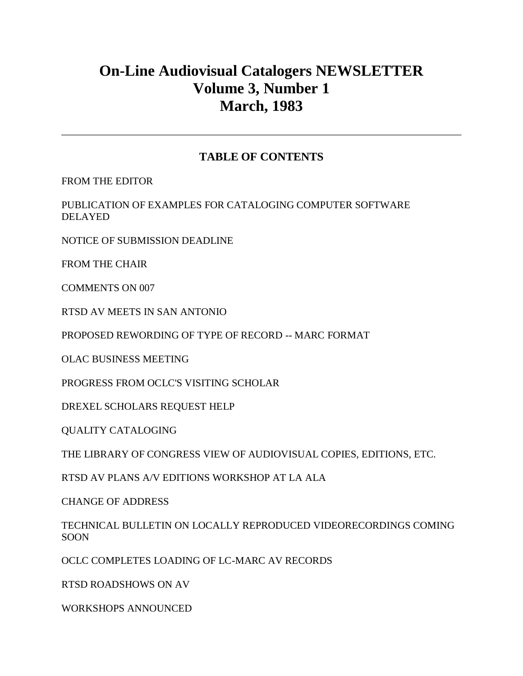# **On-Line Audiovisual Catalogers NEWSLETTER Volume 3, Number 1 March, 1983**

## **TABLE OF CONTENTS**

[FROM THE EDITOR](http://ublib.buffalo.edu/libraries/units/cts/olac/newsletters/mar83.html#editor)

[PUBLICATION OF EXAMPLES FOR CATALOGING COMPUTER SOFTWARE](http://ublib.buffalo.edu/libraries/units/cts/olac/newsletters/mar83.html#publication)  [DELAYED](http://ublib.buffalo.edu/libraries/units/cts/olac/newsletters/mar83.html#publication)

[NOTICE OF SUBMISSION DEADLINE](http://ublib.buffalo.edu/libraries/units/cts/olac/newsletters/mar83.html#notice)

[FROM THE CHAIR](http://ublib.buffalo.edu/libraries/units/cts/olac/newsletters/mar83.html#chair)

[COMMENTS ON 007](http://ublib.buffalo.edu/libraries/units/cts/olac/newsletters/mar83.html#007)

[RTSD AV MEETS IN SAN ANTONIO](http://ublib.buffalo.edu/libraries/units/cts/olac/newsletters/mar83.html#rtsd_av)

[PROPOSED REWORDING OF TYPE OF RECORD --](http://ublib.buffalo.edu/libraries/units/cts/olac/newsletters/mar83.html#proposed) MARC FORMAT

[OLAC BUSINESS MEETING](http://ublib.buffalo.edu/libraries/units/cts/olac/newsletters/mar83.html#on_line)

[PROGRESS FROM OCLC'S VISITING SCHOLAR](http://ublib.buffalo.edu/libraries/units/cts/olac/newsletters/mar83.html#progress)

[DREXEL SCHOLARS REQUEST HELP](http://ublib.buffalo.edu/libraries/units/cts/olac/newsletters/mar83.html#drexel)

[QUALITY CATALOGING](http://ublib.buffalo.edu/libraries/units/cts/olac/newsletters/mar83.html#quality)

[THE LIBRARY OF CONGRESS VIEW OF AUDIOVISUAL COPIES, EDITIONS, ETC.](http://ublib.buffalo.edu/libraries/units/cts/olac/newsletters/mar83.html#library)

[RTSD AV PLANS A/V EDITIONS WORKSHOP AT LA ALA](http://ublib.buffalo.edu/libraries/units/cts/olac/newsletters/mar83.html#workshop)

[CHANGE OF ADDRESS](http://ublib.buffalo.edu/libraries/units/cts/olac/newsletters/mar83.html#address)

[TECHNICAL BULLETIN ON LOCALLY REPRODUCED VIDEORECORDINGS COMING](http://ublib.buffalo.edu/libraries/units/cts/olac/newsletters/mar83.html#technical)  [SOON](http://ublib.buffalo.edu/libraries/units/cts/olac/newsletters/mar83.html#technical)

[OCLC COMPLETES LOADING OF LC-MARC AV RECORDS](http://ublib.buffalo.edu/libraries/units/cts/olac/newsletters/mar83.html#oclc)

[RTSD ROADSHOWS ON AV](http://ublib.buffalo.edu/libraries/units/cts/olac/newsletters/mar83.html#rtsd)

[WORKSHOPS ANNOUNCED](http://ublib.buffalo.edu/libraries/units/cts/olac/newsletters/mar83.html#announced)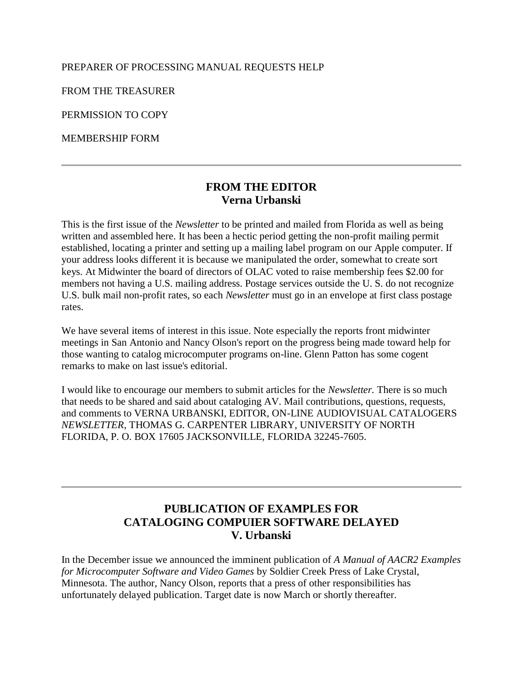#### [PREPARER OF PROCESSING MANUAL REQUESTS HELP](http://ublib.buffalo.edu/libraries/units/cts/olac/newsletters/mar83.html#preparer)

[FROM THE TREASURER](http://ublib.buffalo.edu/libraries/units/cts/olac/newsletters/mar83.html#treasurer)

[PERMISSION TO COPY](http://ublib.buffalo.edu/libraries/units/cts/olac/newsletters/mar83.html#copy)

[MEMBERSHIP FORM](http://ublib.buffalo.edu/libraries/units/cts/olac/newsletters/mar83.html#form)

## **FROM THE EDITOR Verna Urbanski**

This is the first issue of the *Newsletter* to be printed and mailed from Florida as well as being written and assembled here. It has been a hectic period getting the non-profit mailing permit established, locating a printer and setting up a mailing label program on our Apple computer. If your address looks different it is because we manipulated the order, somewhat to create sort keys. At Midwinter the board of directors of OLAC voted to raise membership fees \$2.00 for members not having a U.S. mailing address. Postage services outside the U. S. do not recognize U.S. bulk mail non-profit rates, so each *Newsletter* must go in an envelope at first class postage rates.

We have several items of interest in this issue. Note especially the reports front midwinter meetings in San Antonio and Nancy Olson's report on the progress being made toward help for those wanting to catalog microcomputer programs on-line. Glenn Patton has some cogent remarks to make on last issue's editorial.

I would like to encourage our members to submit articles for the *Newsletter.* There is so much that needs to be shared and said about cataloging AV. Mail contributions, questions, requests, and comments to VERNA URBANSKI, EDITOR, ON-LINE AUDIOVISUAL CATALOGERS *NEWSLETTER*, THOMAS G. CARPENTER LIBRARY, UNIVERSITY OF NORTH FLORIDA, P. O. BOX 17605 JACKSONVILLE, FLORIDA 32245-7605.

# **PUBLICATION OF EXAMPLES FOR CATALOGING COMPUIER SOFTWARE DELAYED V. Urbanski**

In the December issue we announced the imminent publication of *A Manual of AACR2 Examples for Microcomputer Software and Video Games* by Soldier Creek Press of Lake Crystal, Minnesota. The author, Nancy Olson, reports that a press of other responsibilities has unfortunately delayed publication. Target date is now March or shortly thereafter.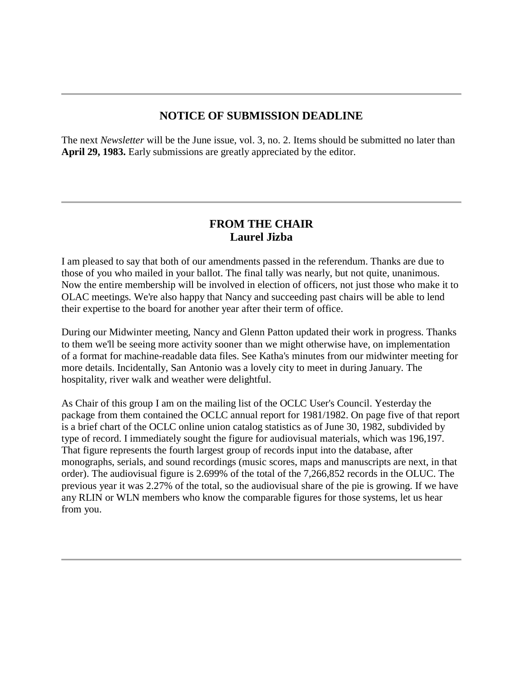## **NOTICE OF SUBMISSION DEADLINE**

The next *Newsletter* will be the June issue, vol. 3, no. 2. Items should be submitted no later than **April 29, 1983.** Early submissions are greatly appreciated by the editor.

#### **FROM THE CHAIR Laurel Jizba**

I am pleased to say that both of our amendments passed in the referendum. Thanks are due to those of you who mailed in your ballot. The final tally was nearly, but not quite, unanimous. Now the entire membership will be involved in election of officers, not just those who make it to OLAC meetings. We're also happy that Nancy and succeeding past chairs will be able to lend their expertise to the board for another year after their term of office.

During our Midwinter meeting, Nancy and Glenn Patton updated their work in progress. Thanks to them we'll be seeing more activity sooner than we might otherwise have, on implementation of a format for machine-readable data files. See Katha's [minutes](http://ublib.buffalo.edu/libraries/units/cts/olac/newsletters/mar83.html#on_line) from our midwinter meeting for more details. Incidentally, San Antonio was a lovely city to meet in during January. The hospitality, river walk and weather were delightful.

As Chair of this group I am on the mailing list of the OCLC User's Council. Yesterday the package from them contained the OCLC annual report for 1981/1982. On page five of that report is a brief chart of the OCLC online union catalog statistics as of June 30, 1982, subdivided by type of record. I immediately sought the figure for audiovisual materials, which was 196,197. That figure represents the fourth largest group of records input into the database, after monographs, serials, and sound recordings (music scores, maps and manuscripts are next, in that order). The audiovisual figure is 2.699% of the total of the 7,266,852 records in the OLUC. The previous year it was 2.27% of the total, so the audiovisual share of the pie is growing. If we have any RLIN or WLN members who know the comparable figures for those systems, let us hear from you.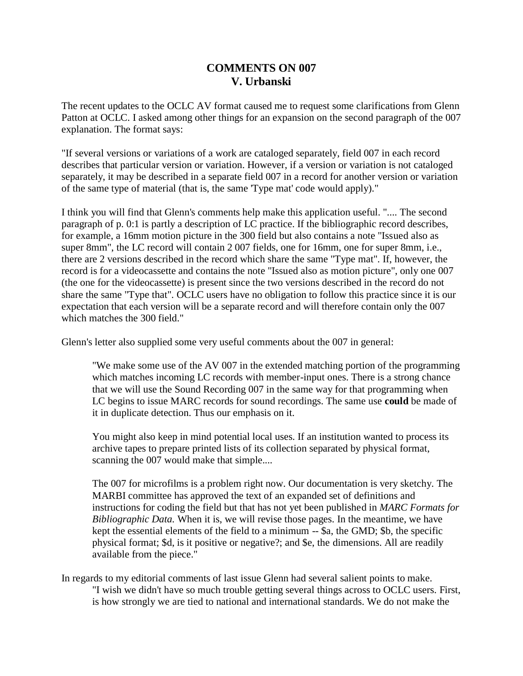## **COMMENTS ON 007 V. Urbanski**

The recent updates to the OCLC AV format caused me to request some clarifications from Glenn Patton at OCLC. I asked among other things for an expansion on the second paragraph of the 007 explanation. The format says:

"If several versions or variations of a work are cataloged separately, field 007 in each record describes that particular version or variation. However, if a version or variation is not cataloged separately, it may be described in a separate field 007 in a record for another version or variation of the same type of material (that is, the same 'Type mat' code would apply)."

I think you will find that Glenn's comments help make this application useful. ".... The second paragraph of p. 0:1 is partly a description of LC practice. If the bibliographic record describes, for example, a 16mm motion picture in the 300 field but also contains a note "Issued also as super 8mm", the LC record will contain 2 007 fields, one for 16mm, one for super 8mm, i.e., there are 2 versions described in the record which share the same "Type mat". If, however, the record is for a videocassette and contains the note "Issued also as motion picture", only one 007 (the one for the videocassette) is present since the two versions described in the record do not share the same "Type that". OCLC users have no obligation to follow this practice since it is our expectation that each version will be a separate record and will therefore contain only the 007 which matches the 300 field."

Glenn's letter also supplied some very useful comments about the 007 in general:

"We make some use of the AV 007 in the extended matching portion of the programming which matches incoming LC records with member-input ones. There is a strong chance that we will use the Sound Recording 007 in the same way for that programming when LC begins to issue MARC records for sound recordings. The same use **could** be made of it in duplicate detection. Thus our emphasis on it.

You might also keep in mind potential local uses. If an institution wanted to process its archive tapes to prepare printed lists of its collection separated by physical format, scanning the 007 would make that simple....

The 007 for microfilms is a problem right now. Our documentation is very sketchy. The MARBI committee has approved the text of an expanded set of definitions and instructions for coding the field but that has not yet been published in *MARC Formats for Bibliographic Data.* When it is, we will revise those pages. In the meantime, we have kept the essential elements of the field to a minimum -- \$a, the GMD; \$b, the specific physical format; \$d, is it positive or negative?; and \$e, the dimensions. All are readily available from the piece."

In regards to my editorial comments of last issue Glenn had several salient points to make. "I wish we didn't have so much trouble getting several things across to OCLC users. First, is how strongly we are tied to national and international standards. We do not make the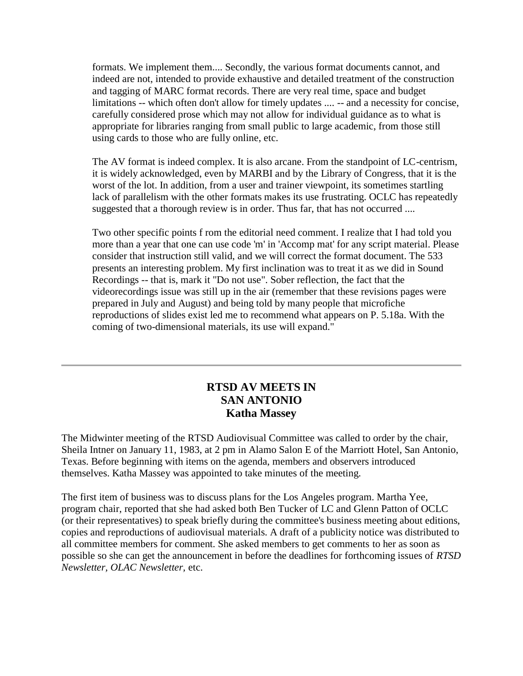formats. We implement them.... Secondly, the various format documents cannot, and indeed are not, intended to provide exhaustive and detailed treatment of the construction and tagging of MARC format records. There are very real time, space and budget limitations -- which often don't allow for timely updates .... -- and a necessity for concise, carefully considered prose which may not allow for individual guidance as to what is appropriate for libraries ranging from small public to large academic, from those still using cards to those who are fully online, etc.

The AV format is indeed complex. It is also arcane. From the standpoint of LC-centrism, it is widely acknowledged, even by MARBI and by the Library of Congress, that it is the worst of the lot. In addition, from a user and trainer viewpoint, its sometimes startling lack of parallelism with the other formats makes its use frustrating. OCLC has repeatedly suggested that a thorough review is in order. Thus far, that has not occurred ....

Two other specific points f rom the editorial need comment. I realize that I had told you more than a year that one can use code 'm' in 'Accomp mat' for any script material. Please consider that instruction still valid, and we will correct the format document. The 533 presents an interesting problem. My first inclination was to treat it as we did in Sound Recordings -- that is, mark it "Do not use". Sober reflection, the fact that the videorecordings issue was still up in the air (remember that these revisions pages were prepared in July and August) and being told by many people that microfiche reproductions of slides exist led me to recommend what appears on P. 5.18a. With the coming of two-dimensional materials, its use will expand."

## **RTSD AV MEETS IN SAN ANTONIO Katha Massey**

The Midwinter meeting of the RTSD Audiovisual Committee was called to order by the chair, Sheila Intner on January 11, 1983, at 2 pm in Alamo Salon E of the Marriott Hotel, San Antonio, Texas. Before beginning with items on the agenda, members and observers introduced themselves. Katha Massey was appointed to take minutes of the meeting.

The first item of business was to discuss plans for the Los Angeles program. Martha Yee, program chair, reported that she had asked both Ben Tucker of LC and Glenn Patton of OCLC (or their representatives) to speak briefly during the committee's business meeting about editions, copies and reproductions of audiovisual materials. A draft of a publicity notice was distributed to all committee members for comment. She asked members to get comments to her as soon as possible so she can get the announcement in before the deadlines for forthcoming issues of *RTSD Newsletter, OLAC Newsletter,* etc.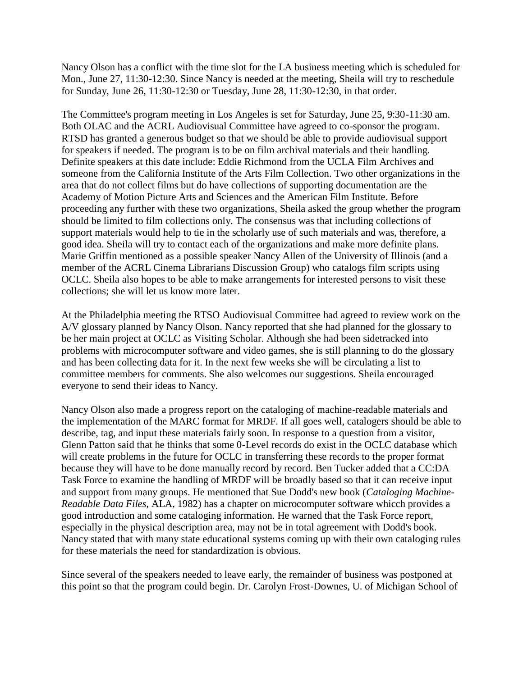Nancy Olson has a conflict with the time slot for the LA business meeting which is scheduled for Mon., June 27, 11:30-12:30. Since Nancy is needed at the meeting, Sheila will try to reschedule for Sunday, June 26, 11:30-12:30 or Tuesday, June 28, 11:30-12:30, in that order.

The Committee's program meeting in Los Angeles is set for Saturday, June 25, 9:30-11:30 am. Both OLAC and the ACRL Audiovisual Committee have agreed to co-sponsor the program. RTSD has granted a generous budget so that we should be able to provide audiovisual support for speakers if needed. The program is to be on film archival materials and their handling. Definite speakers at this date include: Eddie Richmond from the UCLA Film Archives and someone from the California Institute of the Arts Film Collection. Two other organizations in the area that do not collect films but do have collections of supporting documentation are the Academy of Motion Picture Arts and Sciences and the American Film Institute. Before proceeding any further with these two organizations, Sheila asked the group whether the program should be limited to film collections only. The consensus was that including collections of support materials would help to tie in the scholarly use of such materials and was, therefore, a good idea. Sheila will try to contact each of the organizations and make more definite plans. Marie Griffin mentioned as a possible speaker Nancy Allen of the University of Illinois (and a member of the ACRL Cinema Librarians Discussion Group) who catalogs film scripts using OCLC. Sheila also hopes to be able to make arrangements for interested persons to visit these collections; she will let us know more later.

At the Philadelphia meeting the RTSO Audiovisual Committee had agreed to review work on the A/V glossary planned by Nancy Olson. Nancy reported that she had planned for the glossary to be her main project at OCLC as Visiting Scholar. Although she had been sidetracked into problems with microcomputer software and video games, she is still planning to do the glossary and has been collecting data for it. In the next few weeks she will be circulating a list to committee members for comments. She also welcomes our suggestions. Sheila encouraged everyone to send their ideas to Nancy.

Nancy Olson also made a progress report on the cataloging of machine-readable materials and the implementation of the MARC format for MRDF. If all goes well, catalogers should be able to describe, tag, and input these materials fairly soon. In response to a question from a visitor, Glenn Patton said that he thinks that some 0-Level records do exist in the OCLC database which will create problems in the future for OCLC in transferring these records to the proper format because they will have to be done manually record by record. Ben Tucker added that a CC:DA Task Force to examine the handling of MRDF will be broadly based so that it can receive input and support from many groups. He mentioned that Sue Dodd's new book (*Cataloging Machine-Readable Data Files,* ALA, 1982) has a chapter on microcomputer software whicch provides a good introduction and some cataloging information. He warned that the Task Force report, especially in the physical description area, may not be in total agreement with Dodd's book. Nancy stated that with many state educational systems coming up with their own cataloging rules for these materials the need for standardization is obvious.

Since several of the speakers needed to leave early, the remainder of business was postponed at this point so that the program could begin. Dr. Carolyn Frost-Downes, U. of Michigan School of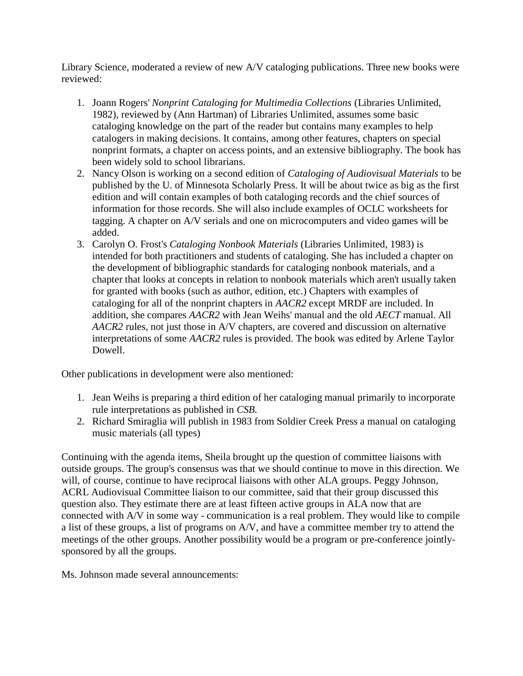Library Science, moderated a review of new A/V cataloging publications. Three new books were reviewed:

- 1. Joann Rogers' *Nonprint Cataloging for Multimedia Collections* (Libraries Unlimited, 1982), reviewed by (Ann Hartman) of Libraries Unlimited, assumes some basic cataloging knowledge on the part of the reader but contains many examples to help catalogers in making decisions. It contains, among other features, chapters on special nonprint formats, a chapter on access points, and an extensive bibliography. The book has been widely sold to school librarians.
- 2. Nancy Olson is working on a second edition of *Cataloging of Audiovisual Materials* to be published by the U. of Minnesota Scholarly Press. It will be about twice as big as the first edition and will contain examples of both cataloging records and the chief sources of information for those records. She will also include examples of OCLC worksheets for tagging. A chapter on A/V serials and one on microcomputers and video games will be added.
- 3. Carolyn O. Frost's *Cataloging Nonbook Materials* (Libraries Unlimited, 1983) is intended for both practitioners and students of cataloging. She has included a chapter on the development of bibliographic standards for cataloging nonbook materials, and a chapter that looks at concepts in relation to nonbook materials which aren't usually taken for granted with books (such as author, edition, etc.) Chapters with examples of cataloging for all of the nonprint chapters in *AACR2* except MRDF are included. In addition, she compares *AACR2* with Jean Weihs' manual and the old *AECT* manual. All *AACR2* rules, not just those in A/V chapters, are covered and discussion on alternative interpretations of some *AACR2* rules is provided. The book was edited by Arlene Taylor Dowell.

Other publications in development were also mentioned:

- 1. Jean Weihs is preparing a third edition of her cataloging manual primarily to incorporate rule interpretations as published in *CSB.*
- 2. Richard Smiraglia will publish in 1983 from Soldier Creek Press a manual on cataloging music materials (all types)

Continuing with the agenda items, Sheila brought up the question of committee liaisons with outside groups. The group's consensus was that we should continue to move in this direction. We will, of course, continue to have reciprocal liaisons with other ALA groups. Peggy Johnson, ACRL Audiovisual Committee liaison to our committee, said that their group discussed this question also. They estimate there are at least fifteen active groups in ALA now that are connected with A/V in some way - communication is a real problem. They would like to compile a list of these groups, a list of programs on A/V, and have a committee member try to attend the meetings of the other groups. Another possibility would be a program or pre-conference jointlysponsored by all the groups.

Ms. Johnson made several announcements: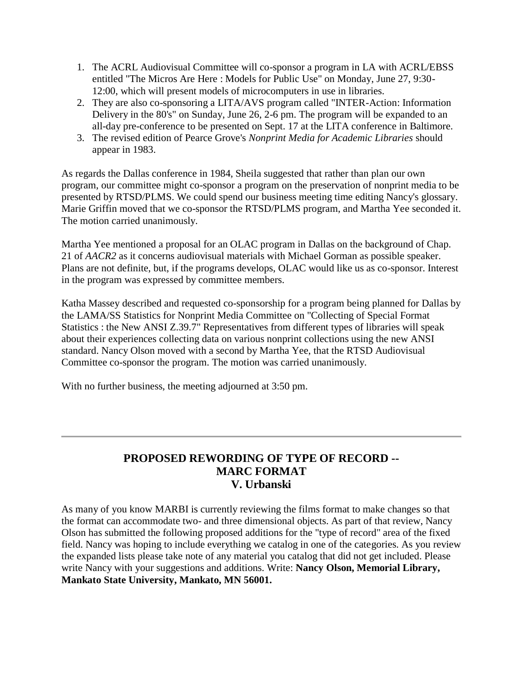- 1. The ACRL Audiovisual Committee will co-sponsor a program in LA with ACRL/EBSS entitled "The Micros Are Here : Models for Public Use" on Monday, June 27, 9:30- 12:00, which will present models of microcomputers in use in libraries.
- 2. They are also co-sponsoring a LITA/AVS program called "INTER-Action: Information Delivery in the 80's" on Sunday, June 26, 2-6 pm. The program will be expanded to an all-day pre-conference to be presented on Sept. 17 at the LITA conference in Baltimore.
- 3. The revised edition of Pearce Grove's *Nonprint Media for Academic Libraries* should appear in 1983.

As regards the Dallas conference in 1984, Sheila suggested that rather than plan our own program, our committee might co-sponsor a program on the preservation of nonprint media to be presented by RTSD/PLMS. We could spend our business meeting time editing Nancy's glossary. Marie Griffin moved that we co-sponsor the RTSD/PLMS program, and Martha Yee seconded it. The motion carried unanimously.

Martha Yee mentioned a proposal for an OLAC program in Dallas on the background of Chap. 21 of *AACR2* as it concerns audiovisual materials with Michael Gorman as possible speaker. Plans are not definite, but, if the programs develops, OLAC would like us as co-sponsor. Interest in the program was expressed by committee members.

Katha Massey described and requested co-sponsorship for a program being planned for Dallas by the LAMA/SS Statistics for Nonprint Media Committee on "Collecting of Special Format Statistics : the New ANSI Z.39.7" Representatives from different types of libraries will speak about their experiences collecting data on various nonprint collections using the new ANSI standard. Nancy Olson moved with a second by Martha Yee, that the RTSD Audiovisual Committee co-sponsor the program. The motion was carried unanimously.

With no further business, the meeting adjourned at 3:50 pm.

## **PROPOSED REWORDING OF TYPE OF RECORD -- MARC FORMAT V. Urbanski**

As many of you know MARBI is currently reviewing the films format to make changes so that the format can accommodate two- and three dimensional objects. As part of that review, Nancy Olson has submitted the following proposed additions for the "type of record" area of the fixed field. Nancy was hoping to include everything we catalog in one of the categories. As you review the expanded lists please take note of any material you catalog that did not get included. Please write Nancy with your suggestions and additions. Write: **Nancy Olson, Memorial Library, Mankato State University, Mankato, MN 56001.**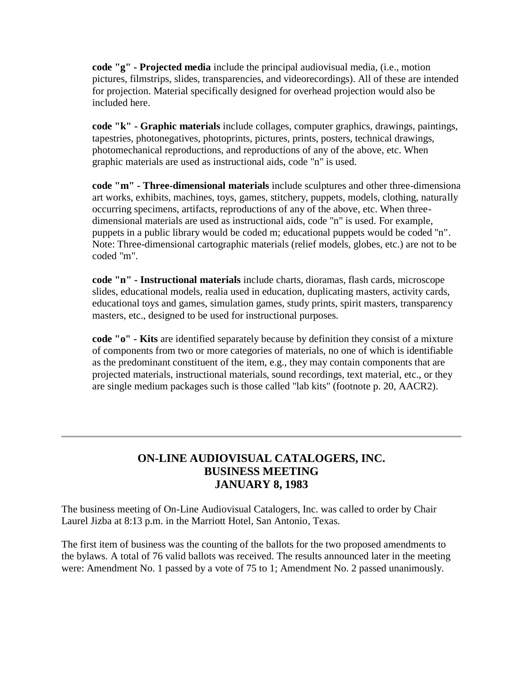**code "g" - Projected media** include the principal audiovisual media, (i.e., motion pictures, filmstrips, slides, transparencies, and videorecordings). All of these are intended for projection. Material specifically designed for overhead projection would also be included here.

**code "k" - Graphic materials** include collages, computer graphics, drawings, paintings, tapestries, photonegatives, photoprints, pictures, prints, posters, technical drawings, photomechanical reproductions, and reproductions of any of the above, etc. When graphic materials are used as instructional aids, code "n" is used.

**code "m" - Three-dimensional materials** include sculptures and other three-dimensiona art works, exhibits, machines, toys, games, stitchery, puppets, models, clothing, naturally occurring specimens, artifacts, reproductions of any of the above, etc. When threedimensional materials are used as instructional aids, code "n" is used. For example, puppets in a public library would be coded m; educational puppets would be coded "n". Note: Three-dimensional cartographic materials (relief models, globes, etc.) are not to be coded "m".

**code "n" - Instructional materials** include charts, dioramas, flash cards, microscope slides, educational models, realia used in education, duplicating masters, activity cards, educational toys and games, simulation games, study prints, spirit masters, transparency masters, etc., designed to be used for instructional purposes.

**code "o" - Kits** are identified separately because by definition they consist of a mixture of components from two or more categories of materials, no one of which is identifiable as the predominant constituent of the item, e.g., they may contain components that are projected materials, instructional materials, sound recordings, text material, etc., or they are single medium packages such is those called "lab kits" (footnote p. 20, AACR2).

## **ON-LINE AUDIOVISUAL CATALOGERS, INC. BUSINESS MEETING JANUARY 8, 1983**

The business meeting of On-Line Audiovisual Catalogers, Inc. was called to order by Chair Laurel Jizba at 8:13 p.m. in the Marriott Hotel, San Antonio, Texas.

The first item of business was the counting of the ballots for the two proposed amendments to the bylaws. A total of 76 valid ballots was received. The results announced later in the meeting were: Amendment No. 1 passed by a vote of 75 to 1; Amendment No. 2 passed unanimously.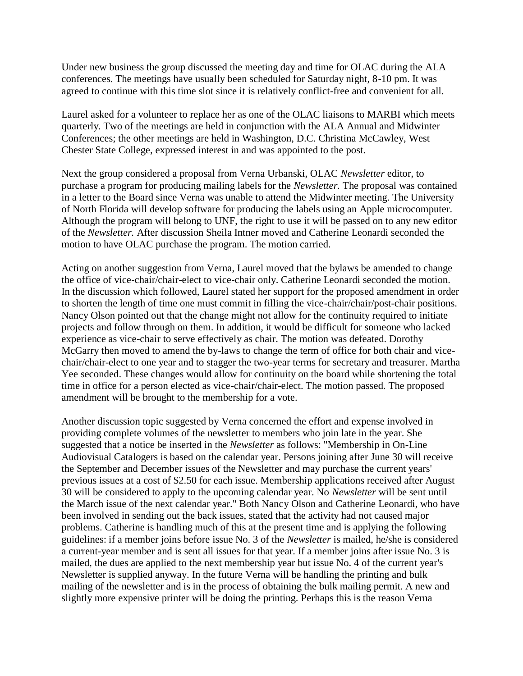Under new business the group discussed the meeting day and time for OLAC during the ALA conferences. The meetings have usually been scheduled for Saturday night, 8-10 pm. It was agreed to continue with this time slot since it is relatively conflict-free and convenient for all.

Laurel asked for a volunteer to replace her as one of the OLAC liaisons to MARBI which meets quarterly. Two of the meetings are held in conjunction with the ALA Annual and Midwinter Conferences; the other meetings are held in Washington, D.C. Christina McCawley, West Chester State College, expressed interest in and was appointed to the post.

Next the group considered a proposal from Verna Urbanski, OLAC *Newsletter* editor, to purchase a program for producing mailing labels for the *Newsletter.* The proposal was contained in a letter to the Board since Verna was unable to attend the Midwinter meeting. The University of North Florida will develop software for producing the labels using an Apple microcomputer. Although the program will belong to UNF, the right to use it will be passed on to any new editor of the *Newsletter.* After discussion Sheila Intner moved and Catherine Leonardi seconded the motion to have OLAC purchase the program. The motion carried.

Acting on another suggestion from Verna, Laurel moved that the bylaws be amended to change the office of vice-chair/chair-elect to vice-chair only. Catherine Leonardi seconded the motion. In the discussion which followed, Laurel stated her support for the proposed amendment in order to shorten the length of time one must commit in filling the vice-chair/chair/post-chair positions. Nancy Olson pointed out that the change might not allow for the continuity required to initiate projects and follow through on them. In addition, it would be difficult for someone who lacked experience as vice-chair to serve effectively as chair. The motion was defeated. Dorothy McGarry then moved to amend the by-laws to change the term of office for both chair and vicechair/chair-elect to one year and to stagger the two-year terms for secretary and treasurer. Martha Yee seconded. These changes would allow for continuity on the board while shortening the total time in office for a person elected as vice-chair/chair-elect. The motion passed. The proposed amendment will be brought to the membership for a vote.

Another discussion topic suggested by Verna concerned the effort and expense involved in providing complete volumes of the newsletter to members who join late in the year. She suggested that a notice be inserted in the *Newsletter* as follows: "Membership in On-Line Audiovisual Catalogers is based on the calendar year. Persons joining after June 30 will receive the September and December issues of the Newsletter and may purchase the current years' previous issues at a cost of \$2.50 for each issue. Membership applications received after August 30 will be considered to apply to the upcoming calendar year. No *Newsletter* will be sent until the March issue of the next calendar year." Both Nancy Olson and Catherine Leonardi, who have been involved in sending out the back issues, stated that the activity had not caused major problems. Catherine is handling much of this at the present time and is applying the following guidelines: if a member joins before issue No. 3 of the *Newsletter* is mailed, he/she is considered a current-year member and is sent all issues for that year. If a member joins after issue No. 3 is mailed, the dues are applied to the next membership year but issue No. 4 of the current year's Newsletter is supplied anyway. In the future Verna will be handling the printing and bulk mailing of the newsletter and is in the process of obtaining the bulk mailing permit. A new and slightly more expensive printer will be doing the printing. Perhaps this is the reason Verna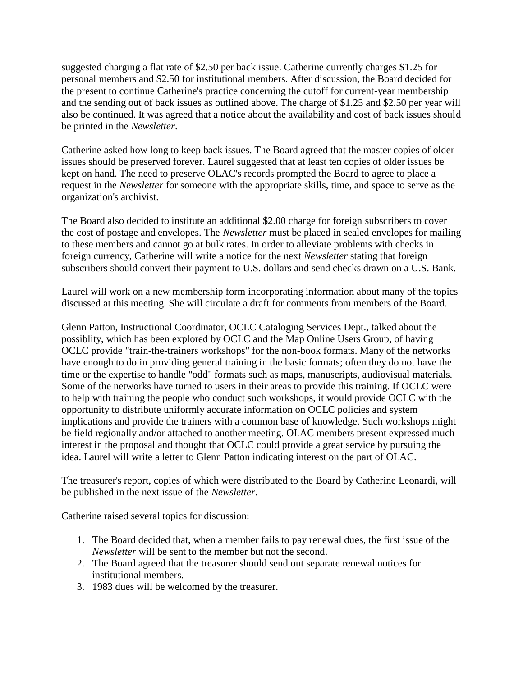suggested charging a flat rate of \$2.50 per back issue. Catherine currently charges \$1.25 for personal members and \$2.50 for institutional members. After discussion, the Board decided for the present to continue Catherine's practice concerning the cutoff for current-year membership and the sending out of back issues as outlined above. The charge of \$1.25 and \$2.50 per year will also be continued. It was agreed that a notice about the availability and cost of back issues should be printed in the *Newsletter*.

Catherine asked how long to keep back issues. The Board agreed that the master copies of older issues should be preserved forever. Laurel suggested that at least ten copies of older issues be kept on hand. The need to preserve OLAC's records prompted the Board to agree to place a request in the *Newsletter* for someone with the appropriate skills, time, and space to serve as the organization's archivist.

The Board also decided to institute an additional \$2.00 charge for foreign subscribers to cover the cost of postage and envelopes. The *Newsletter* must be placed in sealed envelopes for mailing to these members and cannot go at bulk rates. In order to alleviate problems with checks in foreign currency, Catherine will write a notice for the next *Newsletter* stating that foreign subscribers should convert their payment to U.S. dollars and send checks drawn on a U.S. Bank.

Laurel will work on a new membership form incorporating information about many of the topics discussed at this meeting. She will circulate a draft for comments from members of the Board.

Glenn Patton, Instructional Coordinator, OCLC Cataloging Services Dept., talked about the possiblity, which has been explored by OCLC and the Map Online Users Group, of having OCLC provide "train-the-trainers workshops" for the non-book formats. Many of the networks have enough to do in providing general training in the basic formats; often they do not have the time or the expertise to handle "odd" formats such as maps, manuscripts, audiovisual materials. Some of the networks have turned to users in their areas to provide this training. If OCLC were to help with training the people who conduct such workshops, it would provide OCLC with the opportunity to distribute uniformly accurate information on OCLC policies and system implications and provide the trainers with a common base of knowledge. Such workshops might be field regionally and/or attached to another meeting. OLAC members present expressed much interest in the proposal and thought that OCLC could provide a great service by pursuing the idea. Laurel will write a letter to Glenn Patton indicating interest on the part of OLAC.

The [treasurer's report,](http://ublib.buffalo.edu/libraries/units/cts/olac/newsletters/mar83.html#treasurer) copies of which were distributed to the Board by Catherine Leonardi, will be published in the next issue of the *Newsletter*.

Catherine raised several topics for discussion:

- 1. The Board decided that, when a member fails to pay renewal dues, the first issue of the *Newsletter* will be sent to the member but not the second.
- 2. The Board agreed that the treasurer should send out separate renewal notices for institutional members.
- 3. 1983 dues will be welcomed by the treasurer.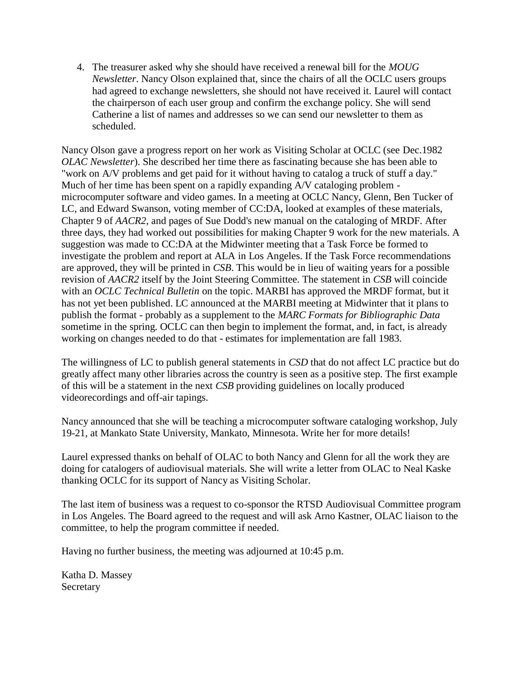4. The treasurer asked why she should have received a renewal bill for the *MOUG Newsletter*. Nancy Olson explained that, since the chairs of all the OCLC users groups had agreed to exchange newsletters, she should not have received it. Laurel will contact the chairperson of each user group and confirm the exchange policy. She will send Catherine a list of names and addresses so we can send our newsletter to them as scheduled.

Nancy Olson gave a progress report on her work as Visiting Scholar at OCLC (see [Dec.1982](http://ublib.buffalo.edu/libraries/units/cts/olac/newsletters/dec82.html#scholar)  *[OLAC Newsletter](http://ublib.buffalo.edu/libraries/units/cts/olac/newsletters/dec82.html#scholar)*). She described her time there as fascinating because she has been able to "work on A/V problems and get paid for it without having to catalog a truck of stuff a day." Much of her time has been spent on a rapidly expanding A/V cataloging problem microcomputer software and video games. In a meeting at OCLC Nancy, Glenn, Ben Tucker of LC, and Edward Swanson, voting member of CC:DA, looked at examples of these materials, Chapter 9 of *AACR2*, and pages of Sue Dodd's new manual on the cataloging of MRDF. After three days, they had worked out possibilities for making Chapter 9 work for the new materials. A suggestion was made to CC:DA at the Midwinter meeting that a Task Force be formed to investigate the problem and report at ALA in Los Angeles. If the Task Force recommendations are approved, they will be printed in *CSB*. This would be in lieu of waiting years for a possible revision of *AACR2* itself by the Joint Steering Committee. The statement in *CSB* will coincide with an *OCLC Technical Bulletin* on the topic. MARBI has approved the MRDF format, but it has not yet been published. LC announced at the MARBI meeting at Midwinter that it plans to publish the format - probably as a supplement to the *MARC Formats for Bibliographic Data* sometime in the spring. OCLC can then begin to implement the format, and, in fact, is already working on changes needed to do that - estimates for implementation are fall 1983.

The willingness of LC to publish general statements in *CSD* that do not affect LC practice but do greatly affect many other libraries across the country is seen as a positive step. The first example of this will be a statement in the next *CSB* providing guidelines on locally produced videorecordings and off-air tapings.

Nancy announced that she will be teaching a microcomputer software cataloging workshop, July 19-21, at Mankato State University, Mankato, Minnesota. Write her for more details!

Laurel expressed thanks on behalf of OLAC to both Nancy and Glenn for all the work they are doing for catalogers of audiovisual materials. She will write a letter from OLAC to Neal Kaske thanking OCLC for its support of Nancy as Visiting Scholar.

The last item of business was a request to co-sponsor the RTSD Audiovisual Committee program in Los Angeles. The Board agreed to the request and will ask Arno Kastner, OLAC liaison to the committee, to help the program committee if needed.

Having no further business, the meeting was adjourned at 10:45 p.m.

Katha D. Massey Secretary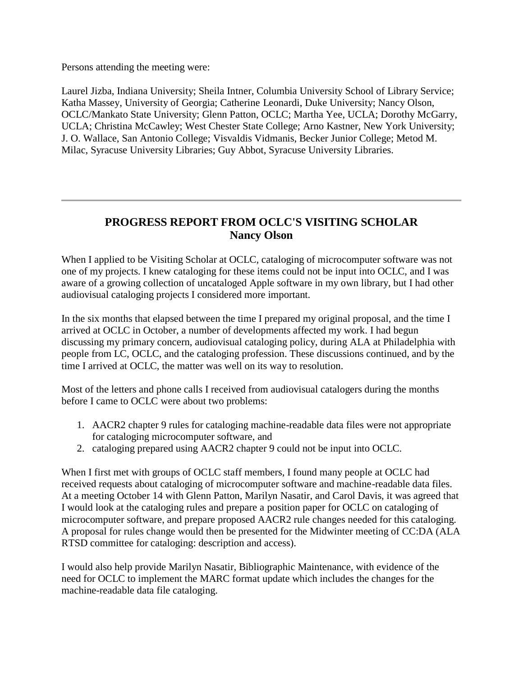Persons attending the meeting were:

Laurel Jizba, Indiana University; Sheila Intner, Columbia University School of Library Service; Katha Massey, University of Georgia; Catherine Leonardi, Duke University; Nancy Olson, OCLC/Mankato State University; Glenn Patton, OCLC; Martha Yee, UCLA; Dorothy McGarry, UCLA; Christina McCawley; West Chester State College; Arno Kastner, New York University; J. O. Wallace, San Antonio College; Visvaldis Vidmanis, Becker Junior College; Metod M. Milac, Syracuse University Libraries; Guy Abbot, Syracuse University Libraries.

# **PROGRESS REPORT FROM OCLC'S VISITING SCHOLAR Nancy Olson**

When I applied to be Visiting Scholar at OCLC, cataloging of microcomputer software was not one of my projects. I knew cataloging for these items could not be input into OCLC, and I was aware of a growing collection of uncataloged Apple software in my own library, but I had other audiovisual cataloging projects I considered more important.

In the six months that elapsed between the time I prepared my original proposal, and the time I arrived at OCLC in October, a number of developments affected my work. I had begun discussing my primary concern, audiovisual cataloging policy, during ALA at Philadelphia with people from LC, OCLC, and the cataloging profession. These discussions continued, and by the time I arrived at OCLC, the matter was well on its way to resolution.

Most of the letters and phone calls I received from audiovisual catalogers during the months before I came to OCLC were about two problems:

- 1. AACR2 chapter 9 rules for cataloging machine-readable data files were not appropriate for cataloging microcomputer software, and
- 2. cataloging prepared using AACR2 chapter 9 could not be input into OCLC.

When I first met with groups of OCLC staff members, I found many people at OCLC had received requests about cataloging of microcomputer software and machine-readable data files. At a meeting October 14 with Glenn Patton, Marilyn Nasatir, and Carol Davis, it was agreed that I would look at the cataloging rules and prepare a position paper for OCLC on cataloging of microcomputer software, and prepare proposed AACR2 rule changes needed for this cataloging. A proposal for rules change would then be presented for the Midwinter meeting of CC:DA (ALA RTSD committee for cataloging: description and access).

I would also help provide Marilyn Nasatir, Bibliographic Maintenance, with evidence of the need for OCLC to implement the MARC format update which includes the changes for the machine-readable data file cataloging.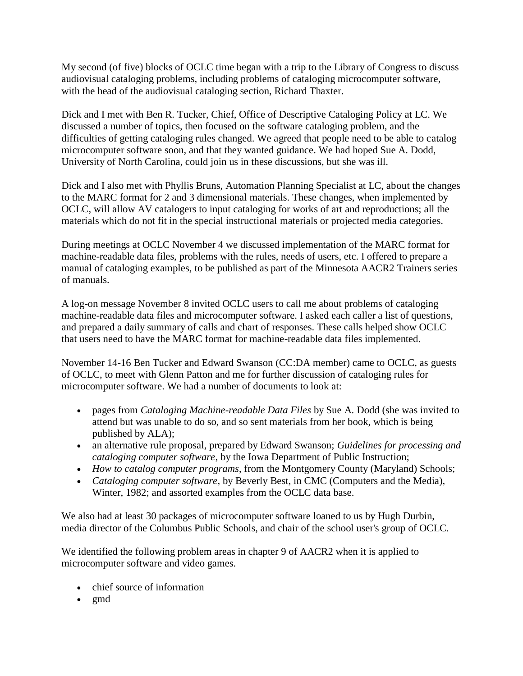My second (of five) blocks of OCLC time began with a trip to the Library of Congress to discuss audiovisual cataloging problems, including problems of cataloging microcomputer software, with the head of the audiovisual cataloging section, Richard Thaxter.

Dick and I met with Ben R. Tucker, Chief, Office of Descriptive Cataloging Policy at LC. We discussed a number of topics, then focused on the software cataloging problem, and the difficulties of getting cataloging rules changed. We agreed that people need to be able to catalog microcomputer software soon, and that they wanted guidance. We had hoped Sue A. Dodd, University of North Carolina, could join us in these discussions, but she was ill.

Dick and I also met with Phyllis Bruns, Automation Planning Specialist at LC, about the changes to the MARC format for 2 and 3 dimensional materials. These changes, when implemented by OCLC, will allow AV catalogers to input cataloging for works of art and reproductions; all the materials which do not fit in the special instructional materials or projected media categories.

During meetings at OCLC November 4 we discussed implementation of the MARC format for machine-readable data files, problems with the rules, needs of users, etc. I offered to prepare a manual of cataloging examples, to be published as part of the Minnesota AACR2 Trainers series of manuals.

A log-on message November 8 invited OCLC users to call me about problems of cataloging machine-readable data files and microcomputer software. I asked each caller a list of questions, and prepared a daily summary of calls and chart of responses. These calls helped show OCLC that users need to have the MARC format for machine-readable data files implemented.

November 14-16 Ben Tucker and Edward Swanson (CC:DA member) came to OCLC, as guests of OCLC, to meet with Glenn Patton and me for further discussion of cataloging rules for microcomputer software. We had a number of documents to look at:

- pages from *Cataloging Machine-readable Data Files* by Sue A. Dodd (she was invited to attend but was unable to do so, and so sent materials from her book, which is being published by ALA);
- an alternative rule proposal, prepared by Edward Swanson; *Guidelines for processing and cataloging computer software*, by the Iowa Department of Public Instruction;
- *How to catalog computer programs*, from the Montgomery County (Maryland) Schools;
- *Cataloging computer software*, by Beverly Best, in CMC (Computers and the Media), Winter, 1982; and assorted examples from the OCLC data base.

We also had at least 30 packages of microcomputer software loaned to us by Hugh Durbin, media director of the Columbus Public Schools, and chair of the school user's group of OCLC.

We identified the following problem areas in chapter 9 of AACR2 when it is applied to microcomputer software and video games.

- chief source of information
- $\bullet$  gmd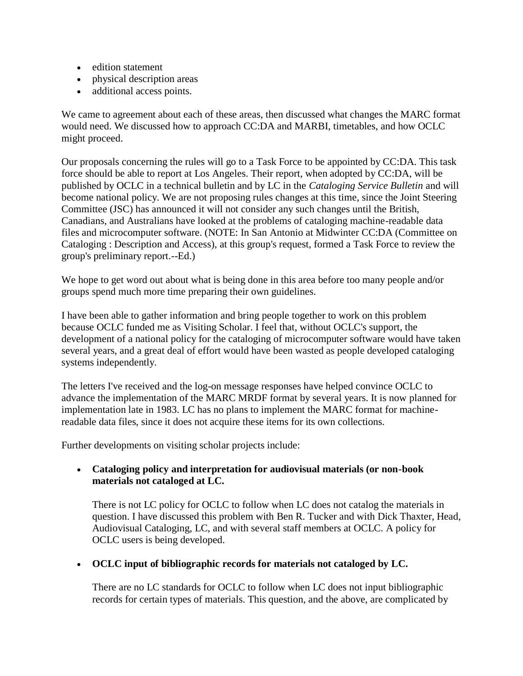- edition statement
- physical description areas
- additional access points.

We came to agreement about each of these areas, then discussed what changes the MARC format would need. We discussed how to approach CC:DA and MARBI, timetables, and how OCLC might proceed.

Our proposals concerning the rules will go to a Task Force to be appointed by CC:DA. This task force should be able to report at Los Angeles. Their report, when adopted by CC:DA, will be published by OCLC in a technical bulletin and by LC in the *Cataloging Service Bulletin* and will become national policy. We are not proposing rules changes at this time, since the Joint Steering Committee (JSC) has announced it will not consider any such changes until the British, Canadians, and Australians have looked at the problems of cataloging machine-readable data files and microcomputer software. (NOTE: In San Antonio at Midwinter CC:DA (Committee on Cataloging : Description and Access), at this group's request, formed a Task Force to review the group's preliminary report.--Ed.)

We hope to get word out about what is being done in this area before too many people and/or groups spend much more time preparing their own guidelines.

I have been able to gather information and bring people together to work on this problem because OCLC funded me as Visiting Scholar. I feel that, without OCLC's support, the development of a national policy for the cataloging of microcomputer software would have taken several years, and a great deal of effort would have been wasted as people developed cataloging systems independently.

The letters I've received and the log-on message responses have helped convince OCLC to advance the implementation of the MARC MRDF format by several years. It is now planned for implementation late in 1983. LC has no plans to implement the MARC format for machinereadable data files, since it does not acquire these items for its own collections.

Further developments on visiting scholar projects include:

#### **Cataloging policy and interpretation for audiovisual materials (or non-book materials not cataloged at LC.**

There is not LC policy for OCLC to follow when LC does not catalog the materials in question. I have discussed this problem with Ben R. Tucker and with Dick Thaxter, Head, Audiovisual Cataloging, LC, and with several staff members at OCLC. A policy for OCLC users is being developed.

#### **OCLC input of bibliographic records for materials not cataloged by LC.**

There are no LC standards for OCLC to follow when LC does not input bibliographic records for certain types of materials. This question, and the above, are complicated by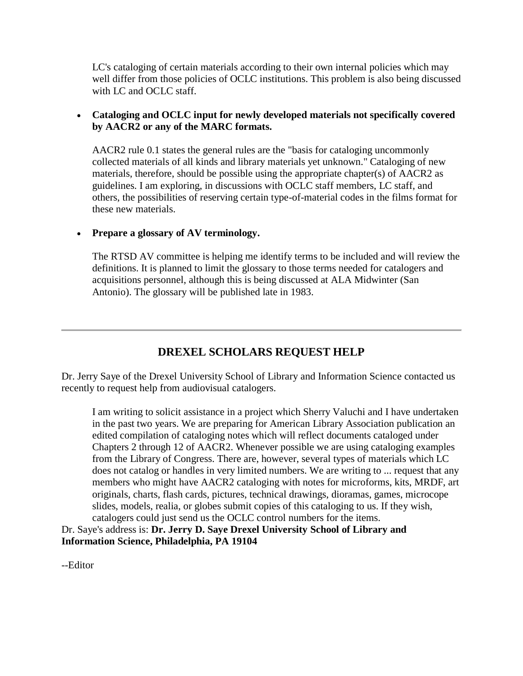LC's cataloging of certain materials according to their own internal policies which may well differ from those policies of OCLC institutions. This problem is also being discussed with LC and OCLC staff.

#### **Cataloging and OCLC input for newly developed materials not specifically covered by AACR2 or any of the MARC formats.**

AACR2 rule 0.1 states the general rules are the "basis for cataloging uncommonly collected materials of all kinds and library materials yet unknown." Cataloging of new materials, therefore, should be possible using the appropriate chapter(s) of AACR2 as guidelines. I am exploring, in discussions with OCLC staff members, LC staff, and others, the possibilities of reserving certain type-of-material codes in the films format for these new materials.

#### **Prepare a glossary of AV terminology.**

The RTSD AV committee is helping me identify terms to be included and will review the definitions. It is planned to limit the glossary to those terms needed for catalogers and acquisitions personnel, although this is being discussed at ALA Midwinter (San Antonio). The glossary will be published late in 1983.

## **DREXEL SCHOLARS REQUEST HELP**

Dr. Jerry Saye of the Drexel University School of Library and Information Science contacted us recently to request help from audiovisual catalogers.

I am writing to solicit assistance in a project which Sherry Valuchi and I have undertaken in the past two years. We are preparing for American Library Association publication an edited compilation of cataloging notes which will reflect documents cataloged under Chapters 2 through 12 of AACR2. Whenever possible we are using cataloging examples from the Library of Congress. There are, however, several types of materials which LC does not catalog or handles in very limited numbers. We are writing to ... request that any members who might have AACR2 cataloging with notes for microforms, kits, MRDF, art originals, charts, flash cards, pictures, technical drawings, dioramas, games, microcope slides, models, realia, or globes submit copies of this cataloging to us. If they wish, catalogers could just send us the OCLC control numbers for the items.

Dr. Saye's address is: **Dr. Jerry D. Saye Drexel University School of Library and Information Science, Philadelphia, PA 19104**

--Editor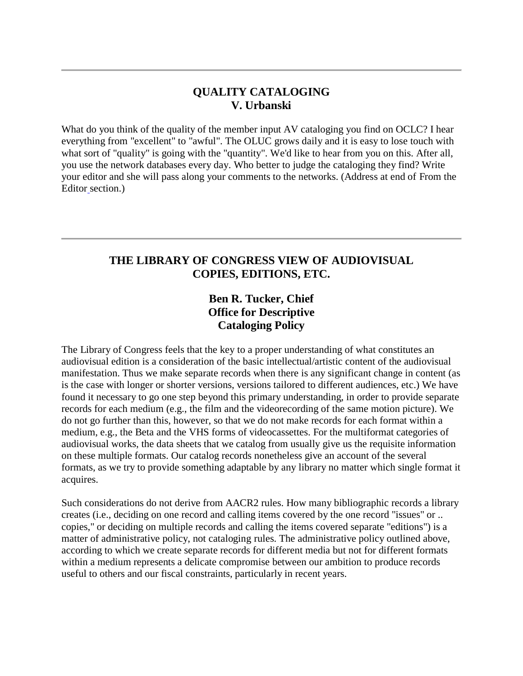## **QUALITY CATALOGING V. Urbanski**

What do you think of the quality of the member input AV cataloging you find on OCLC? I hear everything from "excellent" to "awful". The OLUC grows daily and it is easy to lose touch with what sort of "quality" is going with the "quantity". We'd like to hear from you on this. After all, you use the network databases every day. Who better to judge the cataloging they find? Write your editor and she will pass along your comments to the networks. (Address at end of [From the](http://ublib.buffalo.edu/libraries/units/cts/olac/newsletters/mar83.html#editor)  [Editor](http://ublib.buffalo.edu/libraries/units/cts/olac/newsletters/mar83.html#editor) section.)

## **THE LIBRARY OF CONGRESS VIEW OF AUDIOVISUAL COPIES, EDITIONS, ETC.**

# **Ben R. Tucker, Chief Office for Descriptive Cataloging Policy**

The Library of Congress feels that the key to a proper understanding of what constitutes an audiovisual edition is a consideration of the basic intellectual/artistic content of the audiovisual manifestation. Thus we make separate records when there is any significant change in content (as is the case with longer or shorter versions, versions tailored to different audiences, etc.) We have found it necessary to go one step beyond this primary understanding, in order to provide separate records for each medium (e.g., the film and the videorecording of the same motion picture). We do not go further than this, however, so that we do not make records for each format within a medium, e.g., the Beta and the VHS forms of videocassettes. For the multiformat categories of audiovisual works, the data sheets that we catalog from usually give us the requisite information on these multiple formats. Our catalog records nonetheless give an account of the several formats, as we try to provide something adaptable by any library no matter which single format it acquires.

Such considerations do not derive from AACR2 rules. How many bibliographic records a library creates (i.e., deciding on one record and calling items covered by the one record "issues" or .. copies," or deciding on multiple records and calling the items covered separate "editions") is a matter of administrative policy, not cataloging rules. The administrative policy outlined above, according to which we create separate records for different media but not for different formats within a medium represents a delicate compromise between our ambition to produce records useful to others and our fiscal constraints, particularly in recent years.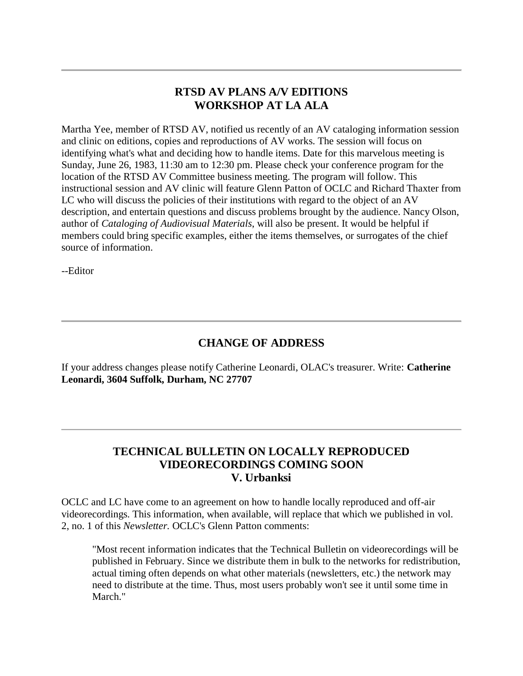#### **RTSD AV PLANS A/V EDITIONS WORKSHOP AT LA ALA**

Martha Yee, member of RTSD AV, notified us recently of an AV cataloging information session and clinic on editions, copies and reproductions of AV works. The session will focus on identifying what's what and deciding how to handle items. Date for this marvelous meeting is Sunday, June 26, 1983, 11:30 am to 12:30 pm. Please check your conference program for the location of the RTSD AV Committee business meeting. The program will follow. This instructional session and AV clinic will feature Glenn Patton of OCLC and Richard Thaxter from LC who will discuss the policies of their institutions with regard to the object of an AV description, and entertain questions and discuss problems brought by the audience. Nancy Olson, author of *Cataloging of Audiovisual Materials*, will also be present. It would be helpful if members could bring specific examples, either the items themselves, or surrogates of the chief source of information.

--Editor

# **CHANGE OF ADDRESS**

If your address changes please notify Catherine Leonardi, OLAC's treasurer. Write: **Catherine Leonardi, 3604 Suffolk, Durham, NC 27707**

## **TECHNICAL BULLETIN ON LOCALLY REPRODUCED VIDEORECORDINGS COMING SOON V. Urbanksi**

OCLC and LC have come to an agreement on how to handle locally reproduced and off-air videorecordings. This information, when available, will replace that which we published in [vol.](http://ublib.buffalo.edu/libraries/units/cts/olac/newsletters/mar82.html#howto)  [2, no. 1 o](http://ublib.buffalo.edu/libraries/units/cts/olac/newsletters/mar82.html#howto)f this *Newsletter.* OCLC's Glenn Patton comments:

"Most recent information indicates that the Technical Bulletin on videorecordings will be published in February. Since we distribute them in bulk to the networks for redistribution, actual timing often depends on what other materials (newsletters, etc.) the network may need to distribute at the time. Thus, most users probably won't see it until some time in March."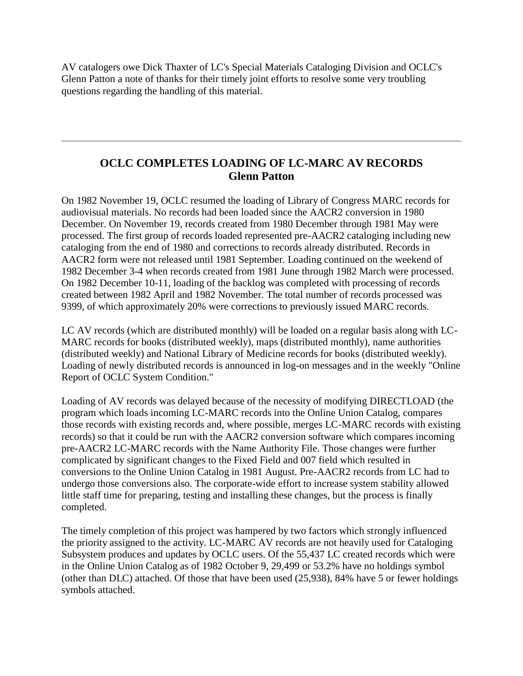AV catalogers owe Dick Thaxter of LC's Special Materials Cataloging Division and OCLC's Glenn Patton a note of thanks for their timely joint efforts to resolve some very troubling questions regarding the handling of this material.

## **OCLC COMPLETES LOADING OF LC-MARC AV RECORDS Glenn Patton**

On 1982 November 19, OCLC resumed the loading of Library of Congress MARC records for audiovisual materials. No records had been loaded since the AACR2 conversion in 1980 December. On November 19, records created from 1980 December through 1981 May were processed. The first group of records loaded represented pre-AACR2 cataloging including new cataloging from the end of 1980 and corrections to records already distributed. Records in AACR2 form were not released until 1981 September. Loading continued on the weekend of 1982 December 3-4 when records created from 1981 June through 1982 March were processed. On 1982 December 10-11, loading of the backlog was completed with processing of records created between 1982 April and 1982 November. The total number of records processed was 9399, of which approximately 20% were corrections to previously issued MARC records.

LC AV records (which are distributed monthly) will be loaded on a regular basis along with LC-MARC records for books (distributed weekly), maps (distributed monthly), name authorities (distributed weekly) and National Library of Medicine records for books (distributed weekly). Loading of newly distributed records is announced in log-on messages and in the weekly "Online Report of OCLC System Condition."

Loading of AV records was delayed because of the necessity of modifying DIRECTLOAD (the program which loads incoming LC-MARC records into the Online Union Catalog, compares those records with existing records and, where possible, merges LC-MARC records with existing records) so that it could be run with the AACR2 conversion software which compares incoming pre-AACR2 LC-MARC records with the Name Authority File. Those changes were further complicated by significant changes to the Fixed Field and 007 field which resulted in conversions to the Online Union Catalog in 1981 August. Pre-AACR2 records from LC had to undergo those conversions also. The corporate-wide effort to increase system stability allowed little staff time for preparing, testing and installing these changes, but the process is finally completed.

The timely completion of this project was hampered by two factors which strongly influenced the priority assigned to the activity. LC-MARC AV records are not heavily used for Cataloging Subsystem produces and updates by OCLC users. Of the 55,437 LC created records which were in the Online Union Catalog as of 1982 October 9, 29,499 or 53.2% have no holdings symbol (other than DLC) attached. Of those that have been used (25,938), 84% have 5 or fewer holdings symbols attached.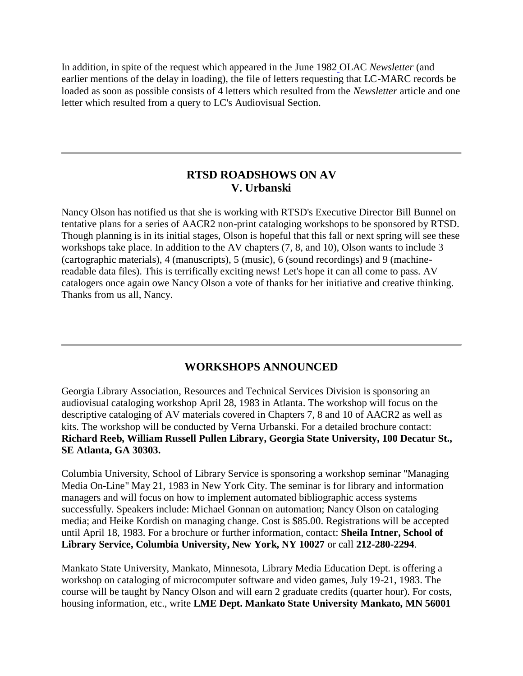In addition, in spite of the request which appeared in the [June 1982](http://ublib.buffalo.edu/libraries/units/cts/olac/newsletters/june82.html#avtapes) OLAC *Newsletter* (and earlier mentions of the delay in loading), the file of letters requesting that LC-MARC records be loaded as soon as possible consists of 4 letters which resulted from the *Newsletter* article and one letter which resulted from a query to LC's Audiovisual Section.

## **RTSD ROADSHOWS ON AV V. Urbanski**

Nancy Olson has notified us that she is working with RTSD's Executive Director Bill Bunnel on tentative plans for a series of AACR2 non-print cataloging workshops to be sponsored by RTSD. Though planning is in its initial stages, Olson is hopeful that this fall or next spring will see these workshops take place. In addition to the AV chapters (7, 8, and 10), Olson wants to include 3 (cartographic materials), 4 (manuscripts), 5 (music), 6 (sound recordings) and 9 (machinereadable data files). This is terrifically exciting news! Let's hope it can all come to pass. AV catalogers once again owe Nancy Olson a vote of thanks for her initiative and creative thinking. Thanks from us all, Nancy.

## **WORKSHOPS ANNOUNCED**

Georgia Library Association, Resources and Technical Services Division is sponsoring an audiovisual cataloging workshop April 28, 1983 in Atlanta. The workshop will focus on the descriptive cataloging of AV materials covered in Chapters 7, 8 and 10 of AACR2 as well as kits. The workshop will be conducted by Verna Urbanski. For a detailed brochure contact: **Richard Reeb, William Russell Pullen Library, Georgia State University, 100 Decatur St., SE Atlanta, GA 30303.**

Columbia University, School of Library Service is sponsoring a workshop seminar "Managing Media On-Line" May 21, 1983 in New York City. The seminar is for library and information managers and will focus on how to implement automated bibliographic access systems successfully. Speakers include: Michael Gonnan on automation; Nancy Olson on cataloging media; and Heike Kordish on managing change. Cost is \$85.00. Registrations will be accepted until April 18, 1983. For a brochure or further information, contact: **Sheila Intner, School of Library Service, Columbia University, New York, NY 10027** or call **212-280-2294**.

Mankato State University, Mankato, Minnesota, Library Media Education Dept. is offering a workshop on cataloging of microcomputer software and video games, July 19-21, 1983. The course will be taught by Nancy Olson and will earn 2 graduate credits (quarter hour). For costs, housing information, etc., write **LME Dept. Mankato State University Mankato, MN 56001**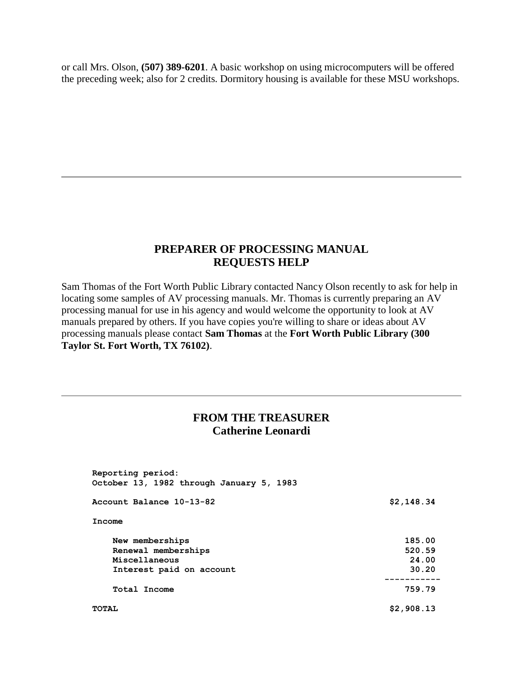or call Mrs. Olson, **(507) 389-6201**. A basic workshop on using microcomputers will be offered the preceding week; also for 2 credits. Dormitory housing is available for these MSU workshops.

## **PREPARER OF PROCESSING MANUAL REQUESTS HELP**

Sam Thomas of the Fort Worth Public Library contacted Nancy Olson recently to ask for help in locating some samples of AV processing manuals. Mr. Thomas is currently preparing an AV processing manual for use in his agency and would welcome the opportunity to look at AV manuals prepared by others. If you have copies you're willing to share or ideas about AV processing manuals please contact **Sam Thomas** at the **Fort Worth Public Library (300 Taylor St. Fort Worth, TX 76102)**.

## **FROM THE TREASURER Catherine Leonardi**

| Reporting period:<br>October 13, 1982 through January 5, 1983 |                     |
|---------------------------------------------------------------|---------------------|
| Account Balance 10-13-82                                      | \$2,148.34          |
| Income                                                        |                     |
| New memberships                                               | 185.00              |
| Renewal memberships                                           | 520.59              |
| Miscellaneous                                                 | 24.00               |
| Interest paid on account                                      | 30.20               |
| Total Income                                                  | ---------<br>759.79 |
| <b>TOTAL</b>                                                  | \$2,908.13          |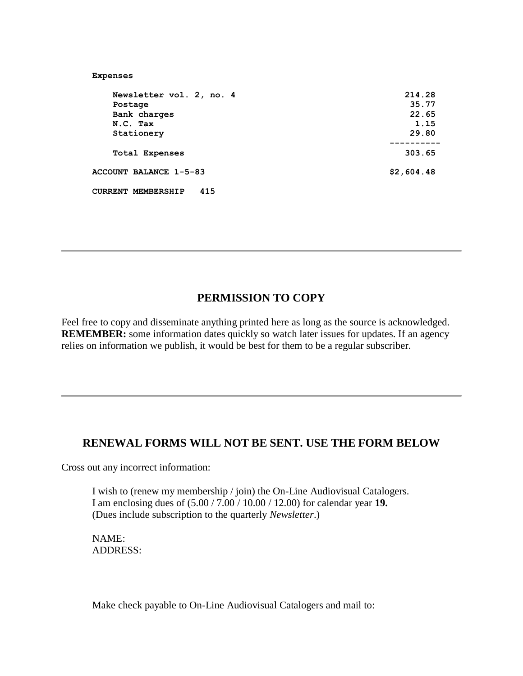| <b>Expenses</b>                  |            |
|----------------------------------|------------|
| Newsletter vol. 2, no. 4         | 214.28     |
| Postage                          | 35.77      |
| Bank charges                     | 22.65      |
| N.C. Tax                         | 1.15       |
| Stationery                       | 29.80      |
| <b>Total Expenses</b>            | 303.65     |
| <b>ACCOUNT BALANCE 1-5-83</b>    | \$2,604.48 |
| 415<br><b>CURRENT MEMBERSHIP</b> |            |

## **PERMISSION TO COPY**

Feel free to copy and disseminate anything printed here as long as the source is acknowledged. **REMEMBER:** some information dates quickly so watch later issues for updates. If an agency relies on information we publish, it would be best for them to be a regular subscriber.

## **RENEWAL FORMS WILL NOT BE SENT. USE THE FORM BELOW**

Cross out any incorrect information:

I wish to (renew my membership / join) the On-Line Audiovisual Catalogers. I am enclosing dues of (5.00 / 7.00 / 10.00 / 12.00) for calendar year **19.** (Dues include subscription to the quarterly *Newsletter*.)

NAME: ADDRESS:

Make check payable to On-Line Audiovisual Catalogers and mail to: